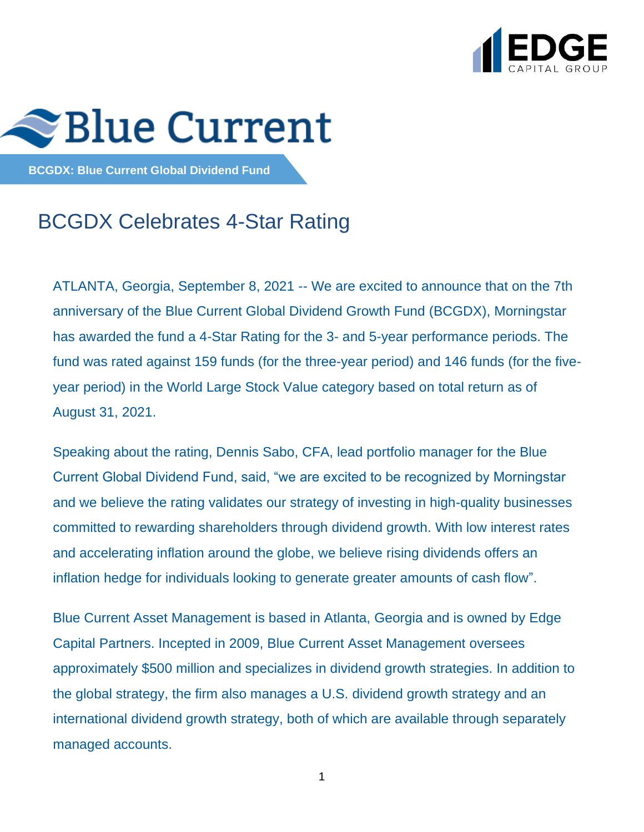



**BCGDX: Blue Current Global Dividend Fund**

# BCGDX Celebrates 4-Star Rating

ATLANTA, Georgia, September 8, 2021 -- We are excited to announce that on the 7th anniversary of the Blue Current Global Dividend Growth Fund (BCGDX), Morningstar has awarded the fund a 4-Star Rating for the 3- and 5-year performance periods. The fund was rated against 159 funds (for the three-year period) and 146 funds (for the fiveyear period) in the World Large Stock Value category based on total return as of August 31, 2021.

Speaking about the rating, Dennis Sabo, CFA, lead portfolio manager for the Blue Current Global Dividend Fund, said, "we are excited to be recognized by Morningstar and we believe the rating validates our strategy of investing in high-quality businesses committed to rewarding shareholders through dividend growth. With low interest rates and accelerating inflation around the globe, we believe rising dividends offers an inflation hedge for individuals looking to generate greater amounts of cash flow".

Blue Current Asset Management is based in Atlanta, Georgia and is owned by Edge Capital Partners. Incepted in 2009, Blue Current Asset Management oversees approximately \$500 million and specializes in dividend growth strategies. In addition to the global strategy, the firm also manages a U.S. dividend growth strategy and an international dividend growth strategy, both of which are available through separately managed accounts.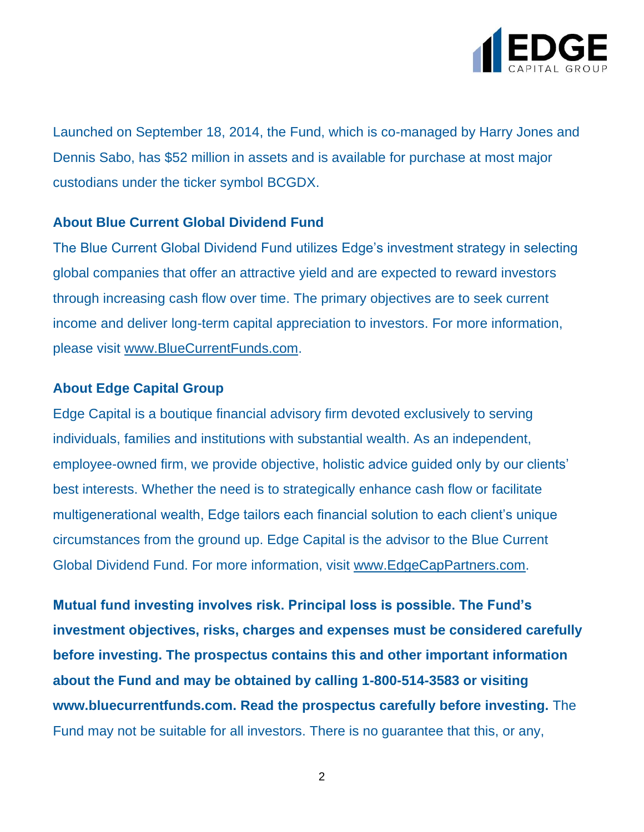

Launched on September 18, 2014, the Fund, which is co-managed by Harry Jones and Dennis Sabo, has \$52 million in assets and is available for purchase at most major custodians under the ticker symbol BCGDX.

### **About Blue Current Global Dividend Fund**

The Blue Current Global Dividend Fund utilizes Edge's investment strategy in selecting global companies that offer an attractive yield and are expected to reward investors through increasing cash flow over time. The primary objectives are to seek current income and deliver long-term capital appreciation to investors. For more information, please visit [www.BlueCurrentFunds.com.](http://www.bluecurrentfunds.com/)

## **About Edge Capital Group**

Edge Capital is a boutique financial advisory firm devoted exclusively to serving individuals, families and institutions with substantial wealth. As an independent, employee-owned firm, we provide objective, holistic advice guided only by our clients' best interests. Whether the need is to strategically enhance cash flow or facilitate multigenerational wealth, Edge tailors each financial solution to each client's unique circumstances from the ground up. Edge Capital is the advisor to the Blue Current Global Dividend Fund. For more information, visit [www.EdgeCapPartners.com.](http://www.edgecappartners.com/)

**Mutual fund investing involves risk. Principal loss is possible. The Fund's investment objectives, risks, charges and expenses must be considered carefully before investing. The prospectus contains this and other important information about the Fund and may be obtained by calling 1-800-514-3583 or visiting www.bluecurrentfunds.com. Read the prospectus carefully before investing.** The Fund may not be suitable for all investors. There is no guarantee that this, or any,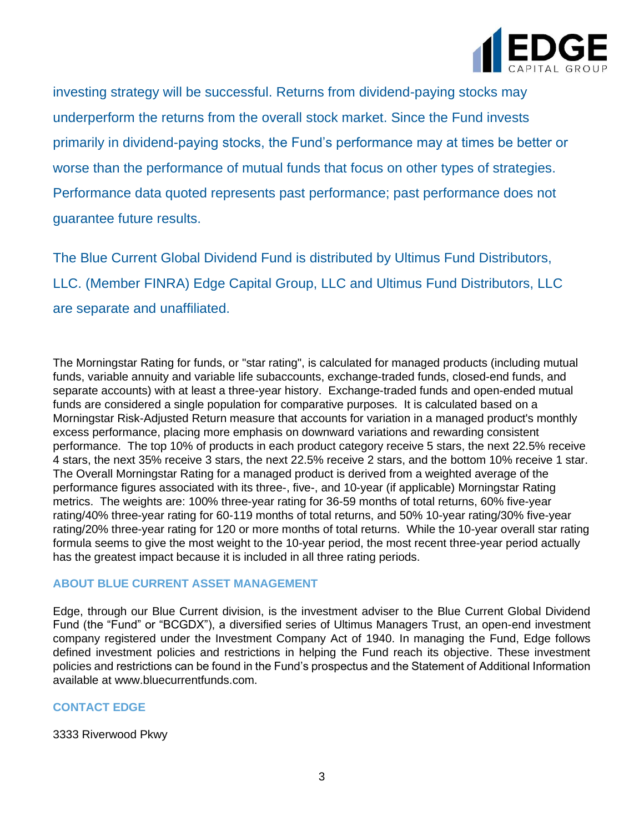

investing strategy will be successful. Returns from dividend-paying stocks may underperform the returns from the overall stock market. Since the Fund invests primarily in dividend-paying stocks, the Fund's performance may at times be better or worse than the performance of mutual funds that focus on other types of strategies. Performance data quoted represents past performance; past performance does not guarantee future results.

The Blue Current Global Dividend Fund is distributed by Ultimus Fund Distributors, LLC. (Member FINRA) Edge Capital Group, LLC and Ultimus Fund Distributors, LLC are separate and unaffiliated.

The Morningstar Rating for funds, or "star rating", is calculated for managed products (including mutual funds, variable annuity and variable life subaccounts, exchange-traded funds, closed-end funds, and separate accounts) with at least a three-year history. Exchange-traded funds and open-ended mutual funds are considered a single population for comparative purposes. It is calculated based on a Morningstar Risk-Adjusted Return measure that accounts for variation in a managed product's monthly excess performance, placing more emphasis on downward variations and rewarding consistent performance. The top 10% of products in each product category receive 5 stars, the next 22.5% receive 4 stars, the next 35% receive 3 stars, the next 22.5% receive 2 stars, and the bottom 10% receive 1 star. The Overall Morningstar Rating for a managed product is derived from a weighted average of the performance figures associated with its three-, five-, and 10-year (if applicable) Morningstar Rating metrics. The weights are: 100% three-year rating for 36-59 months of total returns, 60% five-year rating/40% three-year rating for 60-119 months of total returns, and 50% 10-year rating/30% five-year rating/20% three-year rating for 120 or more months of total returns. While the 10-year overall star rating formula seems to give the most weight to the 10-year period, the most recent three-year period actually has the greatest impact because it is included in all three rating periods.

#### **ABOUT BLUE CURRENT ASSET MANAGEMENT**

Edge, through our Blue Current division, is the investment adviser to the Blue Current Global Dividend Fund (the "Fund" or "BCGDX"), a diversified series of Ultimus Managers Trust, an open-end investment company registered under the Investment Company Act of 1940. In managing the Fund, Edge follows defined investment policies and restrictions in helping the Fund reach its objective. These investment policies and restrictions can be found in the Fund's prospectus and the Statement of Additional Information available at www.bluecurrentfunds.com.

#### **CONTACT EDGE**

3333 Riverwood Pkwy